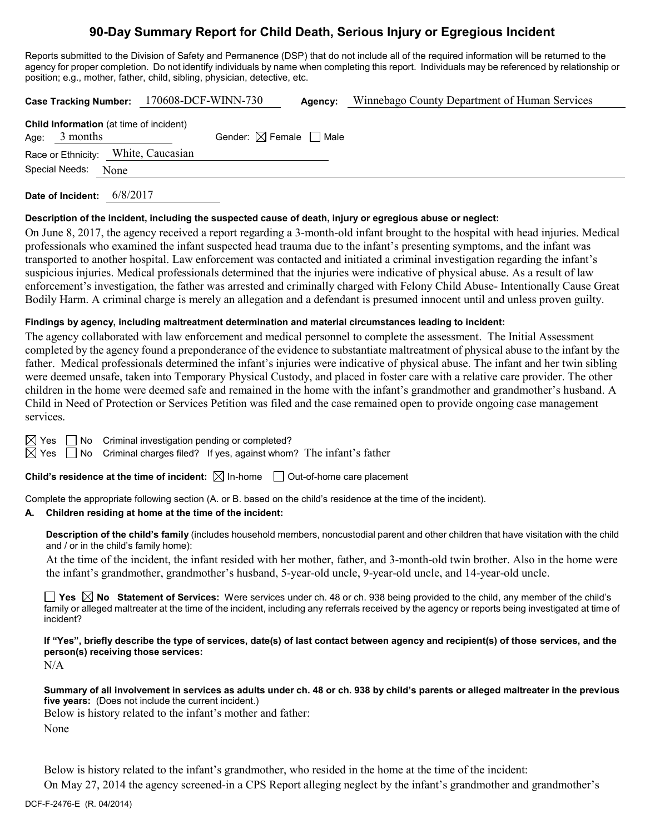# **90-Day Summary Report for Child Death, Serious Injury or Egregious Incident**

Reports submitted to the Division of Safety and Permanence (DSP) that do not include all of the required information will be returned to the agency for proper completion. Do not identify individuals by name when completing this report. Individuals may be referenced by relationship or position; e.g., mother, father, child, sibling, physician, detective, etc.

| Case Tracking Number: 170608-DCF-WINN-730                         | Agency:                                | Winnebago County Department of Human Services |
|-------------------------------------------------------------------|----------------------------------------|-----------------------------------------------|
| <b>Child Information</b> (at time of incident)<br>Age: $3$ months | Gender: $\boxtimes$ Female $\Box$ Male |                                               |
| Race or Ethnicity: White, Caucasian                               |                                        |                                               |
| Special Needs:<br>None                                            |                                        |                                               |
|                                                                   |                                        |                                               |

**Date of Incident:** 6/8/2017

### **Description of the incident, including the suspected cause of death, injury or egregious abuse or neglect:**

On June 8, 2017, the agency received a report regarding a 3-month-old infant brought to the hospital with head injuries. Medical professionals who examined the infant suspected head trauma due to the infant's presenting symptoms, and the infant was transported to another hospital. Law enforcement was contacted and initiated a criminal investigation regarding the infant's suspicious injuries. Medical professionals determined that the injuries were indicative of physical abuse. As a result of law enforcement's investigation, the father was arrested and criminally charged with Felony Child Abuse- Intentionally Cause Great Bodily Harm. A criminal charge is merely an allegation and a defendant is presumed innocent until and unless proven guilty.

### **Findings by agency, including maltreatment determination and material circumstances leading to incident:**

The agency collaborated with law enforcement and medical personnel to complete the assessment. The Initial Assessment completed by the agency found a preponderance of the evidence to substantiate maltreatment of physical abuse to the infant by the father. Medical professionals determined the infant's injuries were indicative of physical abuse. The infant and her twin sibling were deemed unsafe, taken into Temporary Physical Custody, and placed in foster care with a relative care provider. The other children in the home were deemed safe and remained in the home with the infant's grandmother and grandmother's husband. A Child in Need of Protection or Services Petition was filed and the case remained open to provide ongoing case management services.

 $\boxtimes$  Yes  $\Box$  No Criminal investigation pending or completed?

 $\boxtimes$  Yes  $\Box$  No Criminal charges filed? If yes, against whom? The infant's father

**Child's residence at the time of incident:**  $\boxtimes$  In-home  $\Box$  Out-of-home care placement

Complete the appropriate following section (A. or B. based on the child's residence at the time of the incident).

# **A. Children residing at home at the time of the incident:**

**Description of the child's family** (includes household members, noncustodial parent and other children that have visitation with the child and / or in the child's family home):

At the time of the incident, the infant resided with her mother, father, and 3-month-old twin brother. Also in the home were the infant's grandmother, grandmother's husband, 5-year-old uncle, 9-year-old uncle, and 14-year-old uncle.

**Yes No Statement of Services:** Were services under ch. 48 or ch. 938 being provided to the child, any member of the child's family or alleged maltreater at the time of the incident, including any referrals received by the agency or reports being investigated at time of incident?

**If "Yes", briefly describe the type of services, date(s) of last contact between agency and recipient(s) of those services, and the person(s) receiving those services:**

N/A

**Summary of all involvement in services as adults under ch. 48 or ch. 938 by child's parents or alleged maltreater in the previous five years:** (Does not include the current incident.)

Below is history related to the infant's mother and father: None

Below is history related to the infant's grandmother, who resided in the home at the time of the incident:

On May 27, 2014 the agency screened-in a CPS Report alleging neglect by the infant's grandmother and grandmother's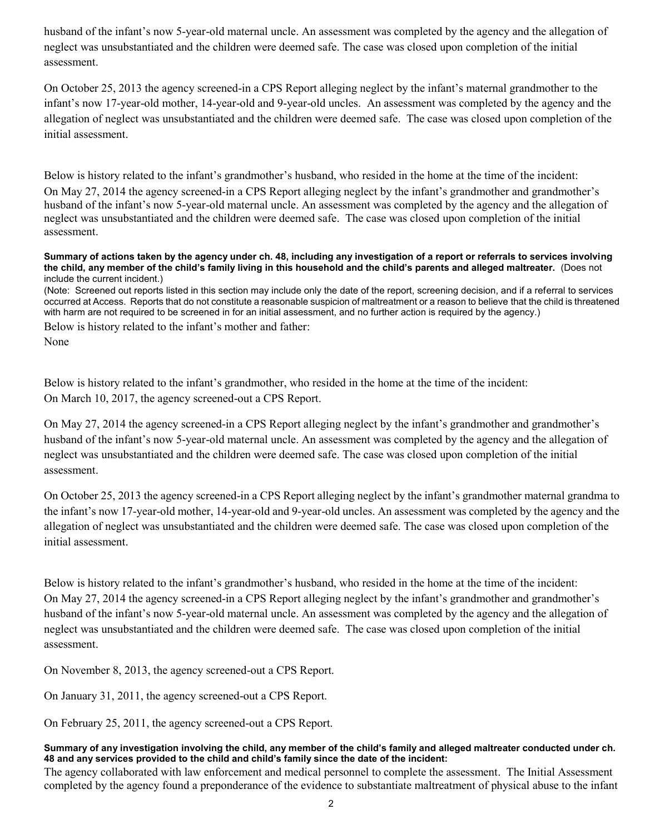husband of the infant's now 5-year-old maternal uncle. An assessment was completed by the agency and the allegation of neglect was unsubstantiated and the children were deemed safe. The case was closed upon completion of the initial assessment.

On October 25, 2013 the agency screened-in a CPS Report alleging neglect by the infant's maternal grandmother to the infant's now 17-year-old mother, 14-year-old and 9-year-old uncles. An assessment was completed by the agency and the allegation of neglect was unsubstantiated and the children were deemed safe. The case was closed upon completion of the initial assessment.

Below is history related to the infant's grandmother's husband, who resided in the home at the time of the incident: On May 27, 2014 the agency screened-in a CPS Report alleging neglect by the infant's grandmother and grandmother's husband of the infant's now 5-year-old maternal uncle. An assessment was completed by the agency and the allegation of neglect was unsubstantiated and the children were deemed safe. The case was closed upon completion of the initial assessment.

#### **Summary of actions taken by the agency under ch. 48, including any investigation of a report or referrals to services involving the child, any member of the child's family living in this household and the child's parents and alleged maltreater.** (Does not include the current incident.)

(Note: Screened out reports listed in this section may include only the date of the report, screening decision, and if a referral to services occurred at Access. Reports that do not constitute a reasonable suspicion of maltreatment or a reason to believe that the child is threatened with harm are not required to be screened in for an initial assessment, and no further action is required by the agency.) Below is history related to the infant's mother and father:

None

Below is history related to the infant's grandmother, who resided in the home at the time of the incident: On March 10, 2017, the agency screened-out a CPS Report.

On May 27, 2014 the agency screened-in a CPS Report alleging neglect by the infant's grandmother and grandmother's husband of the infant's now 5-year-old maternal uncle. An assessment was completed by the agency and the allegation of neglect was unsubstantiated and the children were deemed safe. The case was closed upon completion of the initial assessment.

On October 25, 2013 the agency screened-in a CPS Report alleging neglect by the infant's grandmother maternal grandma to the infant's now 17-year-old mother, 14-year-old and 9-year-old uncles. An assessment was completed by the agency and the allegation of neglect was unsubstantiated and the children were deemed safe. The case was closed upon completion of the initial assessment.

Below is history related to the infant's grandmother's husband, who resided in the home at the time of the incident: On May 27, 2014 the agency screened-in a CPS Report alleging neglect by the infant's grandmother and grandmother's husband of the infant's now 5-year-old maternal uncle. An assessment was completed by the agency and the allegation of neglect was unsubstantiated and the children were deemed safe. The case was closed upon completion of the initial assessment.

On November 8, 2013, the agency screened-out a CPS Report.

On January 31, 2011, the agency screened-out a CPS Report.

On February 25, 2011, the agency screened-out a CPS Report.

## **Summary of any investigation involving the child, any member of the child's family and alleged maltreater conducted under ch. 48 and any services provided to the child and child's family since the date of the incident:**

The agency collaborated with law enforcement and medical personnel to complete the assessment. The Initial Assessment completed by the agency found a preponderance of the evidence to substantiate maltreatment of physical abuse to the infant